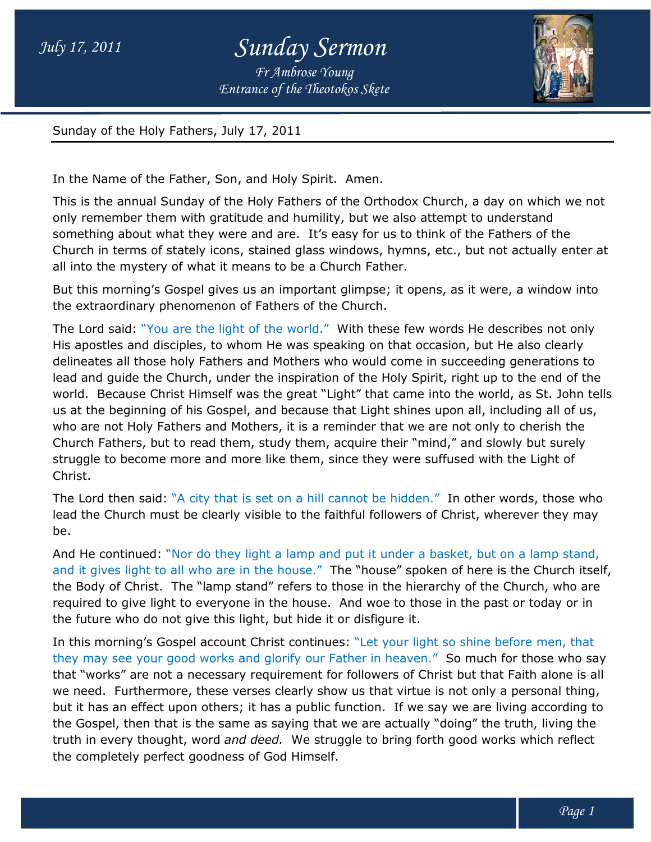*Entrance of the Theotokos Skete Fr Ambrose Young*



Sunday of the Holy Fathers, July 17, 2011

In the Name of the Father, Son, and Holy Spirit. Amen.

Sunday of the Holy Fathers, July 17, 2011<br>In the Name of the Father, Son, and Holy Spirit. Amen.<br>This is the annual Sunday of the Holy Fathers of the Orthodox Church, a day on which we not only remember them with gratitude and humility, but we also attempt to understand only remember them with gratitude and humility, but we also attempt to understand<br>something about what they were and are. It's easy for us to think of the Fathers of the Church in terms of stately icons, stained glass windows, hymns, etc., but not actually enter at all into the mystery of what it means to be a Church Father. ne Holy Fathers of the Orthodox Church, a day on which we not<br>itude and humility, but we also attempt to understand<br>re and are. It's easy for us to think of the Fathers of the<br>s, stained glass windows, hymns, etc., but not

But this morning's Gospel gives us an important glimpse; it opens, as it were, a window into the extraordinary phenomenon of Fathers of the Church. erms of stately icons, stained glass windows, hymns, etc., but not act<br>mystery of what it means to be a Church Father.<br>rning's Gospel gives us an important glimpse; it opens, as it were, a<br>dinary phenomenon of Fathers of t

The Lord said: "You are the light of the world." With these few words He describes not only His apostles and disciples, to whom He was speaking on that occasion, but He also clearly His apostles and disciples, to whom He was speaking on that occasion, but He also clearly<br>delineates all those holy Fathers and Mothers who would come in succeeding generations to lead and guide the Church, under the inspiration of the Holy Spirit, right up to the end of the world. Because Christ Himself was the great "Light" that came into the world, as St. John tells us at the beginning of his Gospel, and because that Light shines upon all, including all of us, who are not Holy Fathers and Mothers, it is a reminder that we are not only to cherish the Church Fathers, but to read them, study them, acquire their "mind," and slowly but surely struggle to become more and more like them, since they were suffused with the Light of Christ. lead and guide the Church, under the inspiration of the Holy Spirit, right up to the end of the world. Because Christ Himself was the great "Light" that came into the world, as St. John tell! us at the beginning of his Gos

The Lord then said: "A city that is set on a hill cannot be hidden." In other words, those who lead the Church must be clearly visible to the faithful followers of Christ, wherever they may be. The Lord then said: "A city that is set on a hill cannot be hidden." In other words, those who<br>lead the Church must be clearly visible to the faithful followers of Christ, wherever they may<br>be.<br>And He continued: "Nor do th

And He continued: "Nor do they light a lamp and put it under a basket, but on a lamp stand,<br>and it gives light to all who are in the house." The "house" spoken of here is the Church itself, the Body of Christ. The "lamp stand" refers to those in the hierarchy of the Church, who are required to give light to everyone in the house. And woe to those in the past or today or in the future who do not give this light, but hide it or disfigure it. the Body of Christ. The "lamp stand" refers to those in the hierarchy of the Church, who are<br>required to give light to everyone in the house. And woe to those in the past or today or in<br>the future who do not give this ligh

they may see your good works and glorify our Father in heaven." So much for those who say that "works" are not a necessary requirement for followers of Christ but that Faith alone is all we need. Furthermore, these verses clearly show us that virtue is not only a personal thing, but it has an effect upon others; it has a public function. If we say we are living according to the Gospel, then that is the same as saying that we are actually "doing" the truth, living the truth in every thought, word *and deed.* We struggle to bring forth good works which reflect the completely perfect goodness of God Himself. works" are not a necessary requirement for followers of Christ but that Faith alone is all need. Furthermore, these verses clearly show us that virtue is not only a personal thing, it has an effect upon others; it has a pu use." The "house" spoken of here is the Church itself,<br>fers to those in the hierarchy of the Church, who are<br>house. And woe to those in the past or today or in<br>: hide it or disfigure it.<br>continues: "Let your light so shine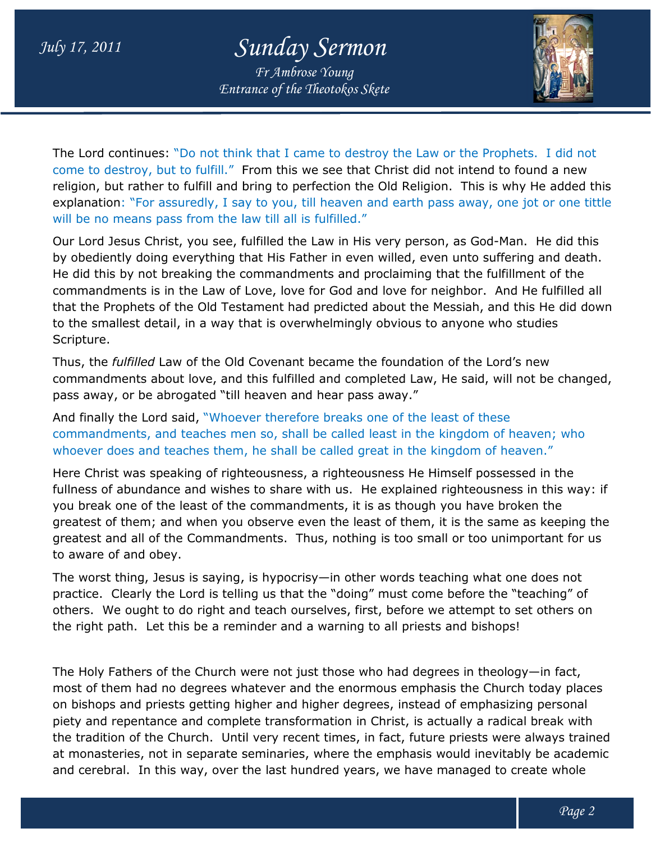## *July 17, 2011 Sunday Sermon*

*Entrance of the Theotokos Skete Fr Ambrose Young*



The Lord continues: "Do not think that I came to destroy the Law or the Prophets. I did not come to destroy, but to fulfill." From this we see that Christ did not intend to found a new religion, but rather to fulfill and bring to perfection the Old Religion. This is why He added this explanation: "For assuredly, I say to you, till heaven and earth pass away, one jot or one tittle will be no means pass from the law till all is fulfilled." explanation: "For assuredly, I say to you, till heaven and earth pass away, one jot or one tittl<br>will be no means pass from the law till all is fulfilled."<br>Our Lord Jesus Christ, you see, fulfilled the Law in His very pers ntinues: "Do not think that I came to destroy the Law or the Prophets. I did not<br>stroy, but to fulfill." From this we see that Christ did not intend to found a new<br>t rather to fulfill and bring to perfection the Old Religi

will be no means pass from the law till all is fulfilled."<br>Our Lord Jesus Christ, you see, fulfilled the Law in His very person, as God-Man. He did this<br>by obediently doing everything that His Father in even willed, even He did this by not breaking the commandments and proclaiming that the fulfillment of the commandments is in the Law of Love, love for God and love for neighbor. And He fulfilled all commandments is in the Law of Love, love for God and love for neighbor. And He fulfilled all<br>that the Prophets of the Old Testament had predicted about the Messiah, and this He did down to the smallest detail, in a way that is overwhelmingly obvious to anyone who studies Scripture.

Thus, the *fulfilled* Law of the Old Covenant became the foundation of the Lord's new commandments about love, and this fulfilled and completed Law, He said, will not be changed, pass away, or be abrogated "till heaven and hear pass away." to the smallest detail, in a way that is overwhelmingly obvious to anyone who studies<br>Scripture.<br>Thus, the *fulfilled* Law of the Old Covenant became the foundation of the Lord's new<br>commandments about love, and this fulfi

And finally the Lord said, "Whoever therefore breaks one of the least of these pass away, or be abrogated "till heaven and hear pass away."<br>And finally the Lord said, "Whoever therefore breaks one of the least of these<br>commandments, and teaches men so, shall be called least in the kingdom of heaven; whoever does and teaches them, he shall be called great in the kingdom of heaven."

whoever does and teaches them, he shall be called great in the kingdom of heaven."<br>Here Christ was speaking of righteousness, a righteousness He Himself possessed in the fullness of abundance and wishes to share with us. He explained righteousness in this way: if you break one of the least of the commandments, it is as though you have broken the greatest of them; and when you observe even the least of them, it is the same as keeping the greatest and all of the Commandments. Thus, nothing is too small or too unimportant for us to aware of and obey. east of the commandments, it is as though you have broken the<br>when you observe even the least of them, it is the same as keeping the<br>Commandments. Thus, nothing is too small or too unimportant for us<br>is saying, is hypocris lis Father in even willed, even unto suffering and death.<br>
anandments and proclaiming that the fulfillment of the<br>
, love for God and love for neighbor. And He fulfilled all<br>
nt had predicted about the Messiah, and this He

The worst thing, Jesus is saying, is hypocrisy—in other words teaching what one does not practice. Clearly the Lord is telling us that the "doing" must come before the "teaching" of others. We ought to do right and teach ourselves, first, before we attempt to set others on others. We ought to do right and teach ourselves, first, before we attempt to s<br>the right path. Let this be a reminder and a warning to all priests and bishops!

The Holy Fathers of the Church were not just those who had degrees in theology most of them had no degrees whatever and the enormous emphasis the Church today places on bishops and priests getting higher and higher degrees, instead of emphasizing personal most of them had no degrees whatever and the enormous emphasis the Church today place<br>on bishops and priests getting higher and higher degrees, instead of emphasizing personal<br>piety and repentance and complete transformati the tradition of the Church. Until very recent times, in fact, future priests were always trained at monasteries, not in separate seminaries, where the emphasis would inevitably be academic and cerebral. In this way, over the last hundred years, we have managed to create whole irch. Until very recent times, in fact, future pries<br>separate seminaries, where the emphasis would<br>iay, over the last hundred years, we have manag